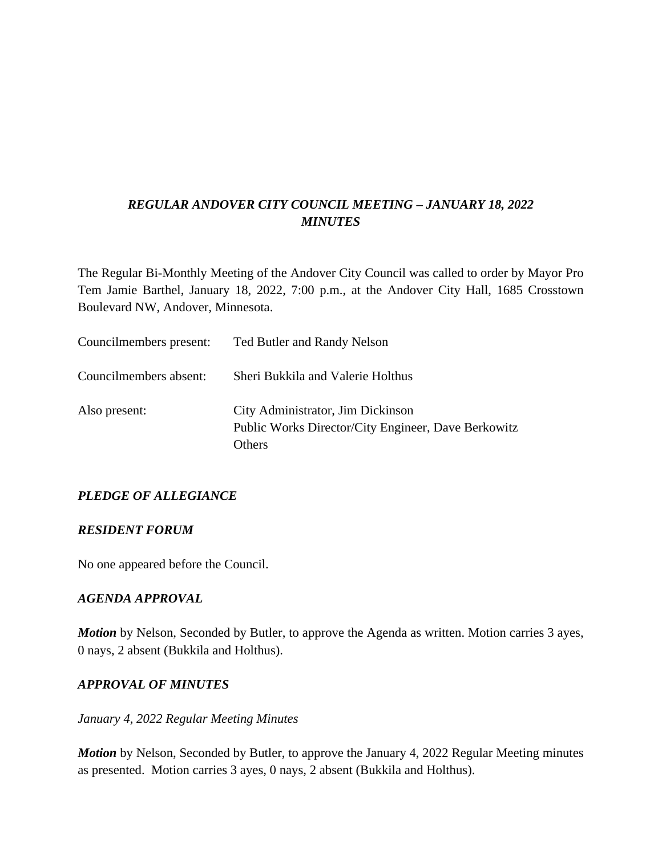# *REGULAR ANDOVER CITY COUNCIL MEETING – JANUARY 18, 2022 MINUTES*

The Regular Bi-Monthly Meeting of the Andover City Council was called to order by Mayor Pro Tem Jamie Barthel, January 18, 2022, 7:00 p.m., at the Andover City Hall, 1685 Crosstown Boulevard NW, Andover, Minnesota.

| Councilmembers present: | Ted Butler and Randy Nelson                                                                        |
|-------------------------|----------------------------------------------------------------------------------------------------|
| Councilmembers absent:  | Sheri Bukkila and Valerie Holthus                                                                  |
| Also present:           | City Administrator, Jim Dickinson<br>Public Works Director/City Engineer, Dave Berkowitz<br>Others |

## *PLEDGE OF ALLEGIANCE*

### *RESIDENT FORUM*

No one appeared before the Council.

### *AGENDA APPROVAL*

*Motion* by Nelson, Seconded by Butler, to approve the Agenda as written. Motion carries 3 ayes, 0 nays, 2 absent (Bukkila and Holthus).

### *APPROVAL OF MINUTES*

### *January 4, 2022 Regular Meeting Minutes*

*Motion* by Nelson, Seconded by Butler, to approve the January 4, 2022 Regular Meeting minutes as presented. Motion carries 3 ayes, 0 nays, 2 absent (Bukkila and Holthus).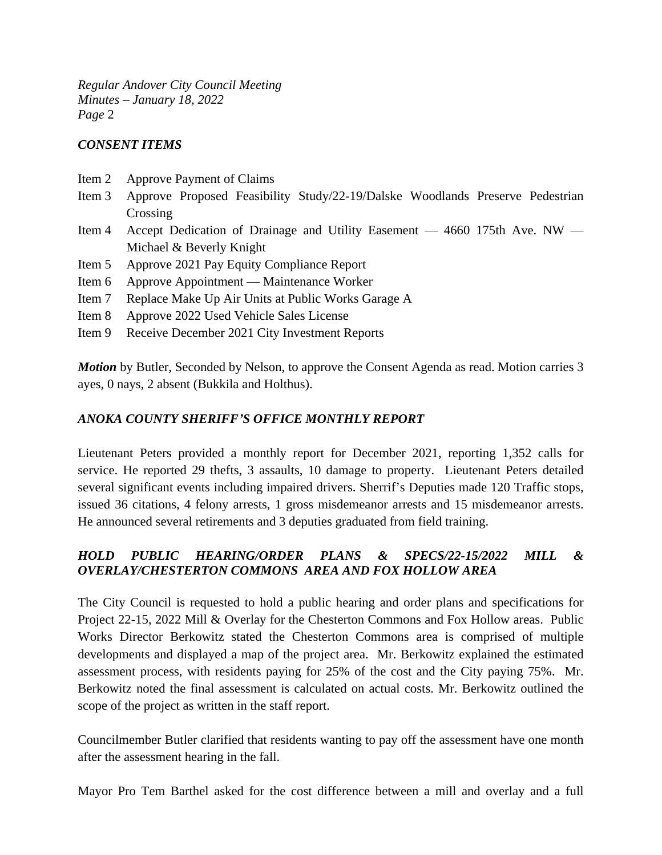### *CONSENT ITEMS*

- Item 2 Approve Payment of Claims
- Item 3 Approve Proposed Feasibility Study/22-19/Dalske Woodlands Preserve Pedestrian Crossing
- Item 4 Accept Dedication of Drainage and Utility Easement 4660 175th Ave. NW Michael & Beverly Knight
- Item 5 Approve 2021 Pay Equity Compliance Report
- Item 6 Approve Appointment Maintenance Worker
- Item 7 Replace Make Up Air Units at Public Works Garage A
- Item 8 Approve 2022 Used Vehicle Sales License
- Item 9 Receive December 2021 City Investment Reports

*Motion* by Butler, Seconded by Nelson, to approve the Consent Agenda as read. Motion carries 3 ayes, 0 nays, 2 absent (Bukkila and Holthus).

### *ANOKA COUNTY SHERIFF'S OFFICE MONTHLY REPORT*

Lieutenant Peters provided a monthly report for December 2021, reporting 1,352 calls for service. He reported 29 thefts, 3 assaults, 10 damage to property. Lieutenant Peters detailed several significant events including impaired drivers. Sherrif's Deputies made 120 Traffic stops, issued 36 citations, 4 felony arrests, 1 gross misdemeanor arrests and 15 misdemeanor arrests. He announced several retirements and 3 deputies graduated from field training.

## *HOLD PUBLIC HEARING/ORDER PLANS & SPECS/22-15/2022 MILL & OVERLAY/CHESTERTON COMMONS AREA AND FOX HOLLOW AREA*

The City Council is requested to hold a public hearing and order plans and specifications for Project 22-15, 2022 Mill & Overlay for the Chesterton Commons and Fox Hollow areas. Public Works Director Berkowitz stated the Chesterton Commons area is comprised of multiple developments and displayed a map of the project area. Mr. Berkowitz explained the estimated assessment process, with residents paying for 25% of the cost and the City paying 75%. Mr. Berkowitz noted the final assessment is calculated on actual costs. Mr. Berkowitz outlined the scope of the project as written in the staff report.

Councilmember Butler clarified that residents wanting to pay off the assessment have one month after the assessment hearing in the fall.

Mayor Pro Tem Barthel asked for the cost difference between a mill and overlay and a full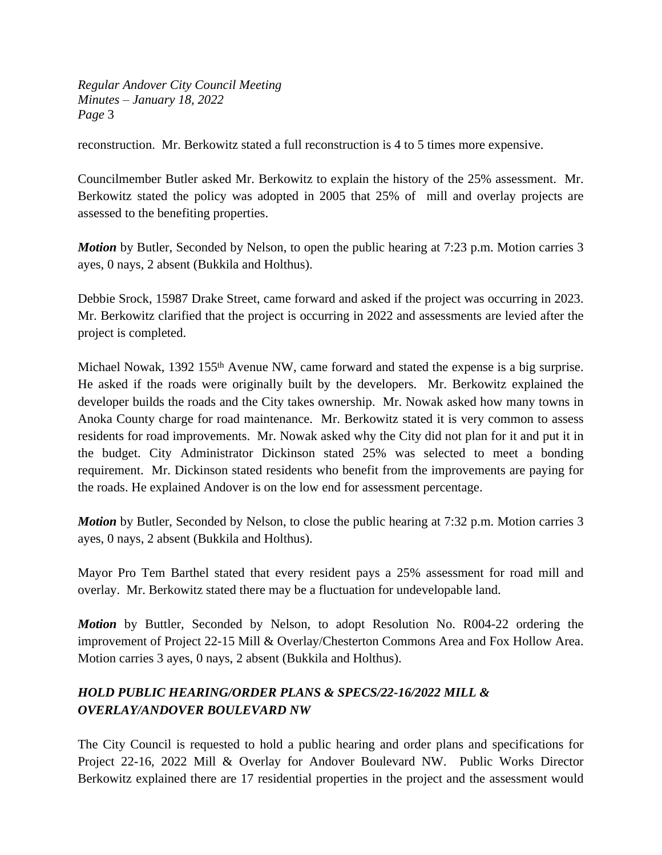reconstruction. Mr. Berkowitz stated a full reconstruction is 4 to 5 times more expensive.

Councilmember Butler asked Mr. Berkowitz to explain the history of the 25% assessment. Mr. Berkowitz stated the policy was adopted in 2005 that 25% of mill and overlay projects are assessed to the benefiting properties.

*Motion* by Butler, Seconded by Nelson, to open the public hearing at 7:23 p.m. Motion carries 3 ayes, 0 nays, 2 absent (Bukkila and Holthus).

Debbie Srock, 15987 Drake Street, came forward and asked if the project was occurring in 2023. Mr. Berkowitz clarified that the project is occurring in 2022 and assessments are levied after the project is completed.

Michael Nowak, 1392 155<sup>th</sup> Avenue NW, came forward and stated the expense is a big surprise. He asked if the roads were originally built by the developers. Mr. Berkowitz explained the developer builds the roads and the City takes ownership. Mr. Nowak asked how many towns in Anoka County charge for road maintenance. Mr. Berkowitz stated it is very common to assess residents for road improvements. Mr. Nowak asked why the City did not plan for it and put it in the budget. City Administrator Dickinson stated 25% was selected to meet a bonding requirement. Mr. Dickinson stated residents who benefit from the improvements are paying for the roads. He explained Andover is on the low end for assessment percentage.

*Motion* by Butler, Seconded by Nelson, to close the public hearing at 7:32 p.m. Motion carries 3 ayes, 0 nays, 2 absent (Bukkila and Holthus).

Mayor Pro Tem Barthel stated that every resident pays a 25% assessment for road mill and overlay. Mr. Berkowitz stated there may be a fluctuation for undevelopable land.

*Motion* by Buttler, Seconded by Nelson, to adopt Resolution No. R004-22 ordering the improvement of Project 22-15 Mill & Overlay/Chesterton Commons Area and Fox Hollow Area. Motion carries 3 ayes, 0 nays, 2 absent (Bukkila and Holthus).

# *HOLD PUBLIC HEARING/ORDER PLANS & SPECS/22-16/2022 MILL & OVERLAY/ANDOVER BOULEVARD NW*

The City Council is requested to hold a public hearing and order plans and specifications for Project 22-16, 2022 Mill & Overlay for Andover Boulevard NW. Public Works Director Berkowitz explained there are 17 residential properties in the project and the assessment would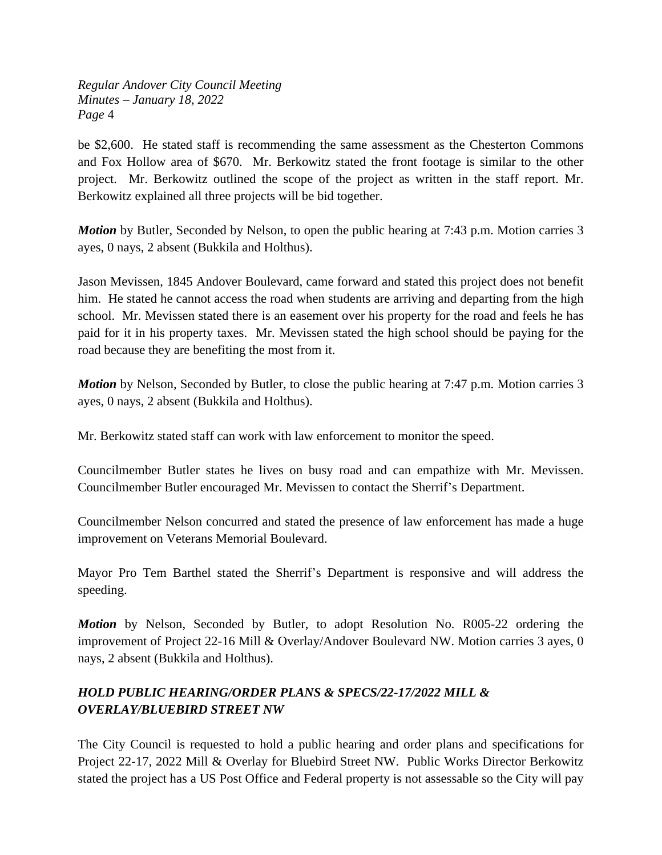be \$2,600. He stated staff is recommending the same assessment as the Chesterton Commons and Fox Hollow area of \$670. Mr. Berkowitz stated the front footage is similar to the other project. Mr. Berkowitz outlined the scope of the project as written in the staff report. Mr. Berkowitz explained all three projects will be bid together.

*Motion* by Butler, Seconded by Nelson, to open the public hearing at 7:43 p.m. Motion carries 3 ayes, 0 nays, 2 absent (Bukkila and Holthus).

Jason Mevissen, 1845 Andover Boulevard, came forward and stated this project does not benefit him. He stated he cannot access the road when students are arriving and departing from the high school. Mr. Mevissen stated there is an easement over his property for the road and feels he has paid for it in his property taxes. Mr. Mevissen stated the high school should be paying for the road because they are benefiting the most from it.

*Motion* by Nelson, Seconded by Butler, to close the public hearing at 7:47 p.m. Motion carries 3 ayes, 0 nays, 2 absent (Bukkila and Holthus).

Mr. Berkowitz stated staff can work with law enforcement to monitor the speed.

Councilmember Butler states he lives on busy road and can empathize with Mr. Mevissen. Councilmember Butler encouraged Mr. Mevissen to contact the Sherrif's Department.

Councilmember Nelson concurred and stated the presence of law enforcement has made a huge improvement on Veterans Memorial Boulevard.

Mayor Pro Tem Barthel stated the Sherrif's Department is responsive and will address the speeding.

*Motion* by Nelson, Seconded by Butler, to adopt Resolution No. R005-22 ordering the improvement of Project 22-16 Mill & Overlay/Andover Boulevard NW. Motion carries 3 ayes, 0 nays, 2 absent (Bukkila and Holthus).

# *HOLD PUBLIC HEARING/ORDER PLANS & SPECS/22-17/2022 MILL & OVERLAY/BLUEBIRD STREET NW*

The City Council is requested to hold a public hearing and order plans and specifications for Project 22-17, 2022 Mill & Overlay for Bluebird Street NW. Public Works Director Berkowitz stated the project has a US Post Office and Federal property is not assessable so the City will pay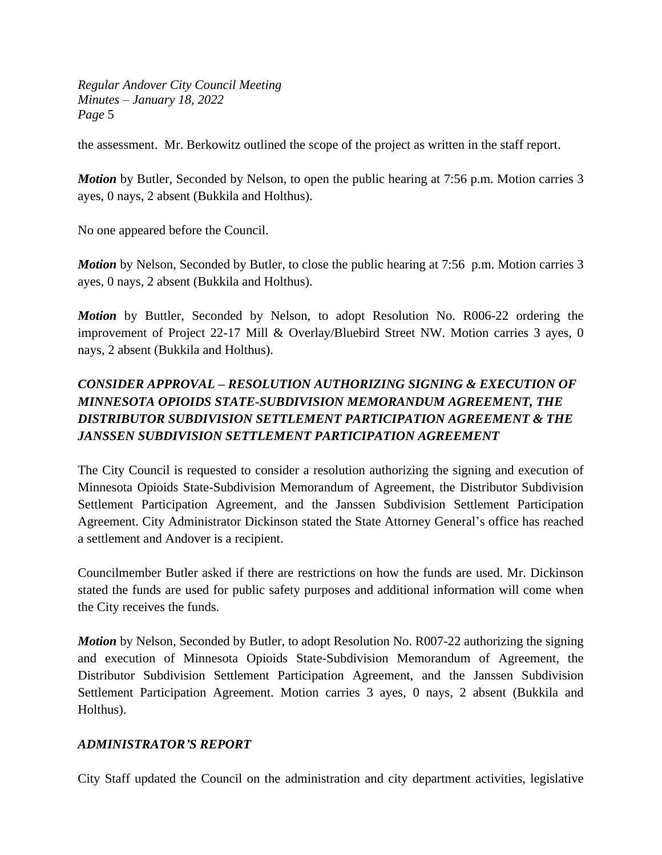the assessment. Mr. Berkowitz outlined the scope of the project as written in the staff report.

*Motion* by Butler, Seconded by Nelson, to open the public hearing at 7:56 p.m. Motion carries 3 ayes, 0 nays, 2 absent (Bukkila and Holthus).

No one appeared before the Council.

*Motion* by Nelson, Seconded by Butler, to close the public hearing at 7:56 p.m. Motion carries 3 ayes, 0 nays, 2 absent (Bukkila and Holthus).

*Motion* by Buttler, Seconded by Nelson, to adopt Resolution No. R006-22 ordering the improvement of Project 22-17 Mill & Overlay/Bluebird Street NW. Motion carries 3 ayes, 0 nays, 2 absent (Bukkila and Holthus).

# *CONSIDER APPROVAL – RESOLUTION AUTHORIZING SIGNING & EXECUTION OF MINNESOTA OPIOIDS STATE-SUBDIVISION MEMORANDUM AGREEMENT, THE DISTRIBUTOR SUBDIVISION SETTLEMENT PARTICIPATION AGREEMENT & THE JANSSEN SUBDIVISION SETTLEMENT PARTICIPATION AGREEMENT*

The City Council is requested to consider a resolution authorizing the signing and execution of Minnesota Opioids State-Subdivision Memorandum of Agreement, the Distributor Subdivision Settlement Participation Agreement, and the Janssen Subdivision Settlement Participation Agreement. City Administrator Dickinson stated the State Attorney General's office has reached a settlement and Andover is a recipient.

Councilmember Butler asked if there are restrictions on how the funds are used. Mr. Dickinson stated the funds are used for public safety purposes and additional information will come when the City receives the funds.

*Motion* by Nelson, Seconded by Butler, to adopt Resolution No. R007-22 authorizing the signing and execution of Minnesota Opioids State-Subdivision Memorandum of Agreement, the Distributor Subdivision Settlement Participation Agreement, and the Janssen Subdivision Settlement Participation Agreement. Motion carries 3 ayes, 0 nays, 2 absent (Bukkila and Holthus).

## *ADMINISTRATOR'S REPORT*

City Staff updated the Council on the administration and city department activities, legislative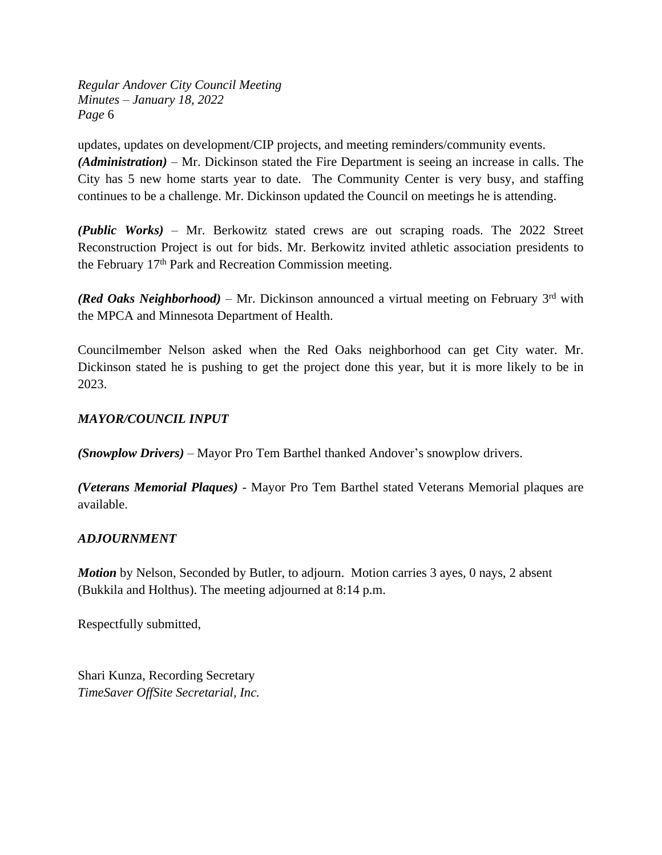updates, updates on development/CIP projects, and meeting reminders/community events. *(Administration)* – Mr. Dickinson stated the Fire Department is seeing an increase in calls. The City has 5 new home starts year to date. The Community Center is very busy, and staffing continues to be a challenge. Mr. Dickinson updated the Council on meetings he is attending.

*(Public Works)* – Mr. Berkowitz stated crews are out scraping roads. The 2022 Street Reconstruction Project is out for bids. Mr. Berkowitz invited athletic association presidents to the February 17th Park and Recreation Commission meeting.

(Red Oaks Neighborhood) – Mr. Dickinson announced a virtual meeting on February 3<sup>rd</sup> with the MPCA and Minnesota Department of Health.

Councilmember Nelson asked when the Red Oaks neighborhood can get City water. Mr. Dickinson stated he is pushing to get the project done this year, but it is more likely to be in 2023.

## *MAYOR/COUNCIL INPUT*

*(Snowplow Drivers)* – Mayor Pro Tem Barthel thanked Andover's snowplow drivers.

*(Veterans Memorial Plaques) -* Mayor Pro Tem Barthel stated Veterans Memorial plaques are available.

## *ADJOURNMENT*

*Motion* by Nelson, Seconded by Butler, to adjourn. Motion carries 3 ayes, 0 nays, 2 absent (Bukkila and Holthus). The meeting adjourned at 8:14 p.m.

Respectfully submitted,

Shari Kunza, Recording Secretary *TimeSaver OffSite Secretarial, Inc.*